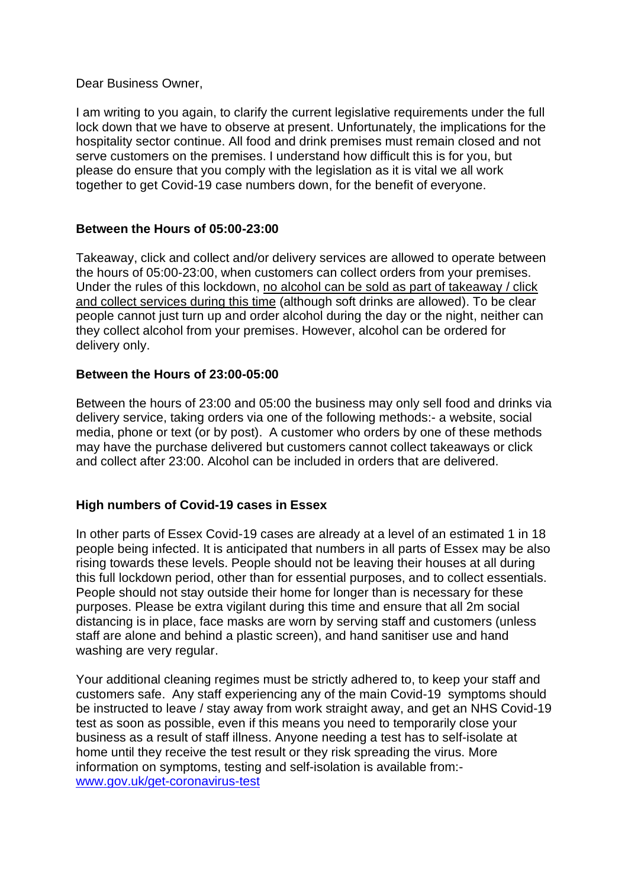Dear Business Owner,

I am writing to you again, to clarify the current legislative requirements under the full lock down that we have to observe at present. Unfortunately, the implications for the hospitality sector continue. All food and drink premises must remain closed and not serve customers on the premises. I understand how difficult this is for you, but please do ensure that you comply with the legislation as it is vital we all work together to get Covid-19 case numbers down, for the benefit of everyone.

# **Between the Hours of 05:00-23:00**

Takeaway, click and collect and/or delivery services are allowed to operate between the hours of 05:00-23:00, when customers can collect orders from your premises. Under the rules of this lockdown, no alcohol can be sold as part of takeaway / click and collect services during this time (although soft drinks are allowed). To be clear people cannot just turn up and order alcohol during the day or the night, neither can they collect alcohol from your premises. However, alcohol can be ordered for delivery only.

## **Between the Hours of 23:00-05:00**

Between the hours of 23:00 and 05:00 the business may only sell food and drinks via delivery service, taking orders via one of the following methods:- a website, social media, phone or text (or by post). A customer who orders by one of these methods may have the purchase delivered but customers cannot collect takeaways or click and collect after 23:00. Alcohol can be included in orders that are delivered.

# **High numbers of Covid-19 cases in Essex**

In other parts of Essex Covid-19 cases are already at a level of an estimated 1 in 18 people being infected. It is anticipated that numbers in all parts of Essex may be also rising towards these levels. People should not be leaving their houses at all during this full lockdown period, other than for essential purposes, and to collect essentials. People should not stay outside their home for longer than is necessary for these purposes. Please be extra vigilant during this time and ensure that all 2m social distancing is in place, face masks are worn by serving staff and customers (unless staff are alone and behind a plastic screen), and hand sanitiser use and hand washing are very regular.

Your additional cleaning regimes must be strictly adhered to, to keep your staff and customers safe. Any staff experiencing any of the main Covid-19 symptoms should be instructed to leave / stay away from work straight away, and get an NHS Covid-19 test as soon as possible, even if this means you need to temporarily close your business as a result of staff illness. Anyone needing a test has to self-isolate at home until they receive the test result or they risk spreading the virus. More information on symptoms, testing and self-isolation is available from: [www.gov.uk/get-coronavirus-test](http://www.gov.uk/get-coronavirus-test)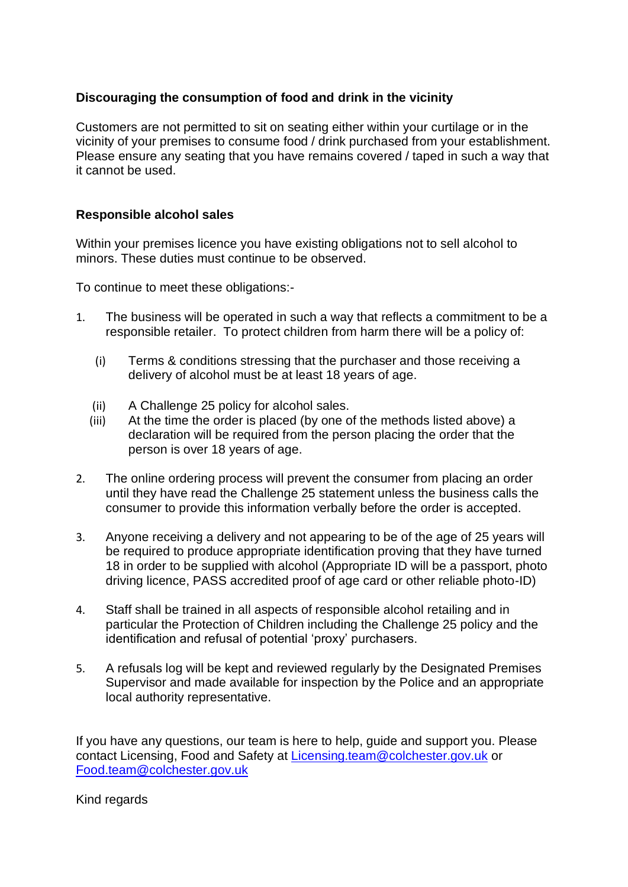# **Discouraging the consumption of food and drink in the vicinity**

Customers are not permitted to sit on seating either within your curtilage or in the vicinity of your premises to consume food / drink purchased from your establishment. Please ensure any seating that you have remains covered / taped in such a way that it cannot be used.

## **Responsible alcohol sales**

Within your premises licence you have existing obligations not to sell alcohol to minors. These duties must continue to be observed.

To continue to meet these obligations:-

- 1. The business will be operated in such a way that reflects a commitment to be a responsible retailer. To protect children from harm there will be a policy of:
	- (i) Terms & conditions stressing that the purchaser and those receiving a delivery of alcohol must be at least 18 years of age.
	- (ii) A Challenge 25 policy for alcohol sales.
	- (iii) At the time the order is placed (by one of the methods listed above) a declaration will be required from the person placing the order that the person is over 18 years of age.
- 2. The online ordering process will prevent the consumer from placing an order until they have read the Challenge 25 statement unless the business calls the consumer to provide this information verbally before the order is accepted.
- 3. Anyone receiving a delivery and not appearing to be of the age of 25 years will be required to produce appropriate identification proving that they have turned 18 in order to be supplied with alcohol (Appropriate ID will be a passport, photo driving licence, PASS accredited proof of age card or other reliable photo-ID)
- 4. Staff shall be trained in all aspects of responsible alcohol retailing and in particular the Protection of Children including the Challenge 25 policy and the identification and refusal of potential 'proxy' purchasers.
- 5. A refusals log will be kept and reviewed regularly by the Designated Premises Supervisor and made available for inspection by the Police and an appropriate local authority representative.

If you have any questions, our team is here to help, guide and support you. Please contact Licensing, Food and Safety at [Licensing.team@colchester.gov.uk](mailto:Licensing.team@colchester.gov.uk) or [Food.team@colchester.gov.uk](mailto:Food.team@colchester.gov.uk)

Kind regards